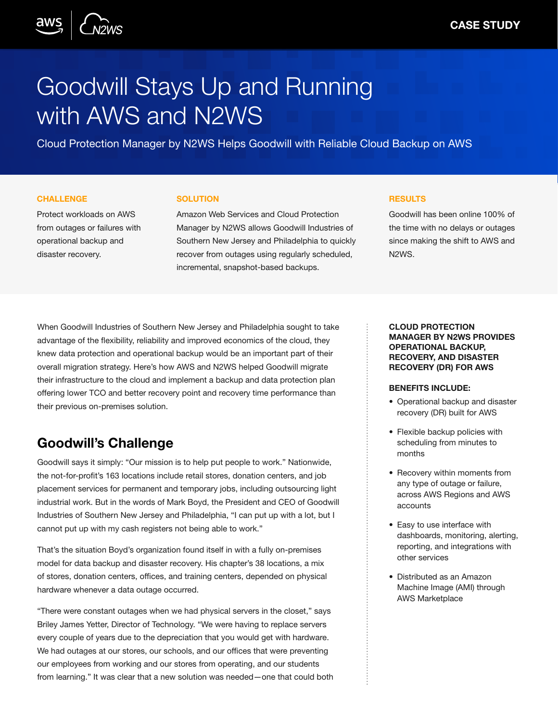

# Goodwill Stays Up and Running with AWS and N2WS

Cloud Protection Manager by N2WS Helps Goodwill with Reliable Cloud Backup on AWS

#### **CHALLENGE**

Protect workloads on AWS from outages or failures with operational backup and disaster recovery.

#### **SOLUTION**

Amazon Web Services and Cloud Protection Manager by N2WS allows Goodwill Industries of Southern New Jersey and Philadelphia to quickly recover from outages using regularly scheduled, incremental, snapshot-based backups.

#### **RESULTS**

Goodwill has been online 100% of the time with no delays or outages since making the shift to AWS and N2WS.

When Goodwill Industries of Southern New Jersey and Philadelphia sought to take advantage of the flexibility, reliability and improved economics of the cloud, they knew data protection and operational backup would be an important part of their overall migration strategy. Here's how AWS and N2WS helped Goodwill migrate their infrastructure to the cloud and implement a backup and data protection plan offering lower TCO and better recovery point and recovery time performance than their previous on-premises solution.

# Goodwill's Challenge

Goodwill says it simply: "Our mission is to help put people to work." Nationwide, the not-for-profit's 163 locations include retail stores, donation centers, and job placement services for permanent and temporary jobs, including outsourcing light industrial work. But in the words of Mark Boyd, the President and CEO of Goodwill Industries of Southern New Jersey and Philadelphia, "I can put up with a lot, but I cannot put up with my cash registers not being able to work."

That's the situation Boyd's organization found itself in with a fully on-premises model for data backup and disaster recovery. His chapter's 38 locations, a mix of stores, donation centers, offices, and training centers, depended on physical hardware whenever a data outage occurred.

"There were constant outages when we had physical servers in the closet," says Briley James Yetter, Director of Technology. "We were having to replace servers every couple of years due to the depreciation that you would get with hardware. We had outages at our stores, our schools, and our offices that were preventing our employees from working and our stores from operating, and our students from learning." It was clear that a new solution was needed—one that could both

#### CLOUD PROTECTION MANAGER BY N2WS PROVIDES OPERATIONAL BACKUP, RECOVERY, AND DISASTER RECOVERY (DR) FOR AWS

#### BENEFITS INCLUDE:

- Operational backup and disaster recovery (DR) built for AWS
- Flexible backup policies with scheduling from minutes to months
- Recovery within moments from any type of outage or failure, across AWS Regions and AWS accounts
- Easy to use interface with dashboards, monitoring, alerting, reporting, and integrations with other services
- Distributed as an Amazon Machine Image (AMI) through AWS Marketplace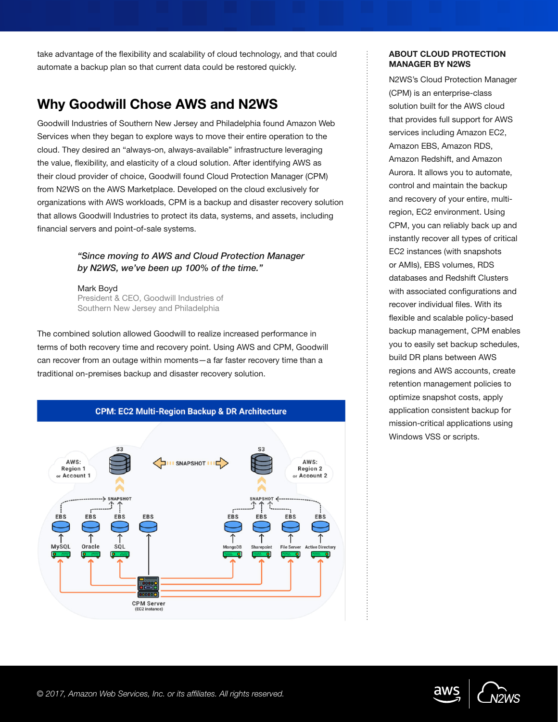take advantage of the flexibility and scalability of cloud technology, and that could automate a backup plan so that current data could be restored quickly.

# Why Goodwill Chose AWS and N2WS

Goodwill Industries of Southern New Jersey and Philadelphia found Amazon Web Services when they began to explore ways to move their entire operation to the cloud. They desired an "always-on, always-available" infrastructure leveraging the value, flexibility, and elasticity of a cloud solution. After identifying AWS as their cloud provider of choice, Goodwill found Cloud Protection Manager (CPM) from N2WS on the AWS Marketplace. Developed on the cloud exclusively for organizations with AWS workloads, CPM is a backup and disaster recovery solution that allows Goodwill Industries to protect its data, systems, and assets, including financial servers and point-of-sale systems.

## *"Since moving to AWS and Cloud Protection Manager by N2WS, we've been up 100% of the time."*

Mark Boyd President & CEO, Goodwill Industries of Southern New Jersey and Philadelphia

The combined solution allowed Goodwill to realize increased performance in terms of both recovery time and recovery point. Using AWS and CPM, Goodwill can recover from an outage within moments—a far faster recovery time than a traditional on-premises backup and disaster recovery solution.



## ABOUT CLOUD PROTECTION MANAGER BY N2WS

N2WS's Cloud Protection Manager (CPM) is an enterprise-class solution built for the AWS cloud that provides full support for AWS services including Amazon EC2, Amazon EBS, Amazon RDS, Amazon Redshift, and Amazon Aurora. It allows you to automate, control and maintain the backup and recovery of your entire, multiregion, EC2 environment. Using CPM, you can reliably back up and instantly recover all types of critical EC2 instances (with snapshots or AMIs), EBS volumes, RDS databases and Redshift Clusters with associated configurations and recover individual files. With its flexible and scalable policy-based backup management, CPM enables you to easily set backup schedules, build DR plans between AWS regions and AWS accounts, create retention management policies to optimize snapshot costs, apply application consistent backup for mission-critical applications using Windows VSS or scripts.